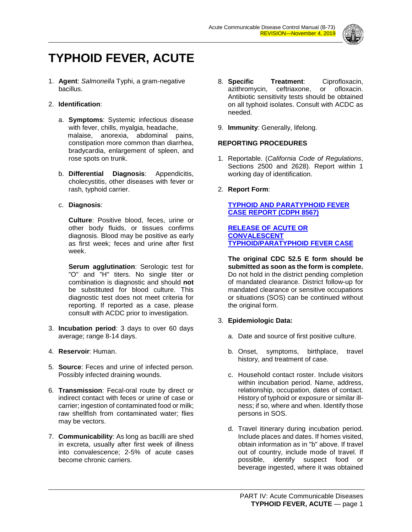

# **TYPHOID FEVER, ACUTE**

1. **Agent**: *Salmonella* Typhi, a gram-negative bacillus.

#### 2. **Identification**:

- a. **Symptoms**: Systemic infectious disease with fever, chills, myalgia, headache, malaise, anorexia, abdominal pains, constipation more common than diarrhea, bradycardia, enlargement of spleen, and rose spots on trunk.
- b. **Differential Diagnosis**: Appendicitis, cholecystitis, other diseases with fever or rash, typhoid carrier.

#### c. **Diagnosis**:

**Culture**: Positive blood, feces, urine or other body fluids, or tissues confirms diagnosis. Blood may be positive as early as first week; feces and urine after first week.

**Serum agglutination**: Serologic test for "O" and "H" titers. No single titer or combination is diagnostic and should **not** be substituted for blood culture. This diagnostic test does not meet criteria for reporting. If reported as a case, please consult with ACDC prior to investigation.

- 3. **Incubation period**: 3 days to over 60 days average; range 8-14 days.
- 4. **Reservoir**: Human.
- 5. **Source**: Feces and urine of infected person. Possibly infected draining wounds.
- 6. **Transmission**: Fecal-oral route by direct or indirect contact with feces or urine of case or carrier; ingestion of contaminated food or milk; raw shellfish from contaminated water; flies may be vectors.
- 7. **Communicability**: As long as bacilli are shed in excreta, usually after first week of illness into convalescence; 2-5% of acute cases become chronic carriers.
- 8. **Specific Treatment**: Ciprofloxacin, azithromycin, ceftriaxone, or Antibiotic sensitivity tests should be obtained on all typhoid isolates. Consult with ACDC as needed.
- 9. **Immunity**: Generally, lifelong.

## **REPORTING PROCEDURES**

- 1. Reportable. (*California Code of Regulations*, Sections 2500 and 2628). Report within 1 working day of identification.
- 2. **Report Form**:

## **[TYPHOID AND PARATYPHOID FEVER](http://publichealth.lacounty.gov/acd/Diseases/EpiForms/TyphoidParatyphoidFeverSurvRep-CDPH8567.pdf)  CASE [REPORT \(CDPH 8567\)](http://publichealth.lacounty.gov/acd/Diseases/EpiForms/TyphoidParatyphoidFeverSurvRep-CDPH8567.pdf)**

**[RELEASE OF ACUTE OR](http://publichealth.lacounty.gov/acd/Diseases/EpiForms/TyphoidAcuteConvRelease.pdf)  [CONVALESCENT](http://publichealth.lacounty.gov/acd/Diseases/EpiForms/TyphoidAcuteConvRelease.pdf)  [TYPHOID/PARATYPHOID](http://publichealth.lacounty.gov/acd/Diseases/EpiForms/TyphoidAcuteConvRelease.pdf) FEVER CASE** 

**The original CDC 52.5 E form should be submitted as soon as the form is complete.** Do not hold in the district pending completion of mandated clearance. District follow-up for mandated clearance or sensitive occupations or situations (SOS) can be continued without the original form.

# 3. **Epidemiologic Data:**

- a. Date and source of first positive culture.
- b. Onset, symptoms, birthplace, travel history, and treatment of case.
- c. Household contact roster. Include visitors within incubation period. Name, address, relationship, occupation, dates of contact. History of typhoid or exposure or similar illness; if so, where and when. Identify those persons in SOS.
- d. Travel itinerary during incubation period. Include places and dates. If homes visited, obtain information as in "b" above. If travel out of country, include mode of travel. If possible, identify suspect food or beverage ingested, where it was obtained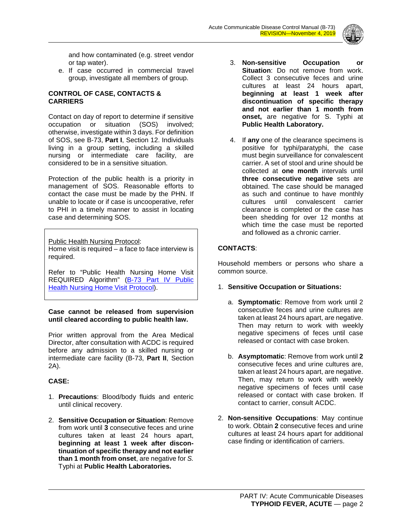

and how contaminated (e.g. street vendor or tap water).

e. If case occurred in commercial travel group, investigate all members of group.

### **CONTROL OF CASE, CONTACTS & CARRIERS**

Contact on day of report to determine if sensitive occupation or situation (SOS) involved; otherwise, investigate within 3 days. For definition of SOS, see B-73, **Part I**, Section 12. Individuals living in a group setting, including a skilled nursing or intermediate care facility, are considered to be in a sensitive situation.

Protection of the public health is a priority in management of SOS. Reasonable efforts to contact the case must be made by the PHN. If unable to locate or if case is uncooperative, refer to PHI in a timely manner to assist in locating case and determining SOS.

Public Health Nursing Protocol:

Home visit is required – a face to face interview is required.

Refer to "Public Health Nursing Home Visit REQUIRED Algorithm" (B-73 Part IV Public [Health Nursing Home Visit Protocol\)](http://publichealth.lacounty.gov/acd/procs/b73/HomeVisitProtocol.pdf).

#### **Case cannot be released from supervision until cleared according to public health law.**

Prior written approval from the Area Medical Director, after consultation with ACDC is required before any admission to a skilled nursing or intermediate care facility (B-73, **Part II**, Section 2A).

# **CASE:**

- 1. **Precautions**: Blood/body fluids and enteric until clinical recovery.
- 2. **Sensitive Occupation or Situation**: Remove from work until **3** consecutive feces and urine cultures taken at least 24 hours apart, **beginning at least 1 week after discontinuation of specific therapy and not earlier than 1 month from onset**, are negative for *S.*  Typhi at **Public Health Laboratories.**
- 3. **Non-sensitive Occupation or Situation**: Do not remove from work. Collect 3 consecutive feces and urine cultures at least 24 hours apart, **beginning at least 1 week after discontinuation of specific therapy and not earlier than 1 month from onset,** are negative for S. Typhi at **Public Health Laboratory.**
- 4. If **any** one of the clearance specimens is positive for typhi/paratyphi, the case must begin surveillance for convalescent carrier. A set of stool and urine should be collected at **one month** intervals until **three consecutive negative** sets are obtained. The case should be managed as such and continue to have monthly cultures until convalescent carrier clearance is completed or the case has been shedding for over 12 months at which time the case must be reported and followed as a chronic carrier.

#### **CONTACTS**:

Household members or persons who share a common source.

- 1. **Sensitive Occupation or Situations:**
	- a. **Symptomatic**: Remove from work until 2 consecutive feces and urine cultures are taken at least 24 hours apart, are negative. Then may return to work with weekly negative specimens of feces until case released or contact with case broken.
	- b. **Asymptomatic**: Remove from work until **2** consecutive feces and urine cultures are, taken at least 24 hours apart, are negative. Then, may return to work with weekly negative specimens of feces until case released or contact with case broken. If contact to carrier, consult ACDC.
- 2. **Non-sensitive Occupations**: May continue to work. Obtain **2** consecutive feces and urine cultures at least 24 hours apart for additional case finding or identification of carriers.